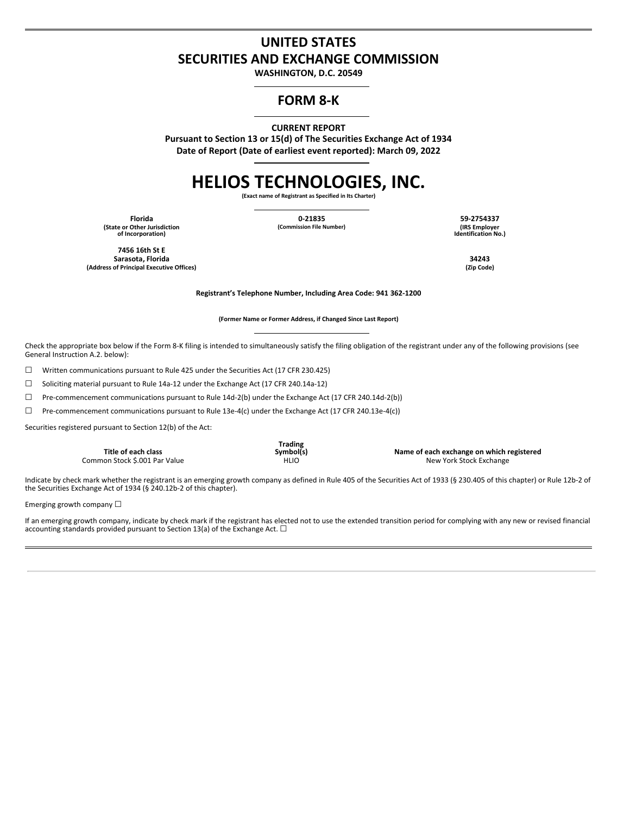# **UNITED STATES SECURITIES AND EXCHANGE COMMISSION**

**WASHINGTON, D.C. 20549**

# **FORM 8-K**

**CURRENT REPORT**

**Pursuant to Section 13 or 15(d) of The Securities Exchange Act of 1934 Date of Report (Date of earliest event reported): March 09, 2022**

# **HELIOS TECHNOLOGIES, INC.**

**(Exact name of Registrant as Specified in Its Charter)**

**(State or Other Jurisdiction of Incorporation)**

**Florida 0-21835 59-2754337**

**(Commission File Number) (IRS Employer Identification No.)**

**7456 16th St E Sarasota, Florida 34243 (Address of Principal Executive Offices) (Zip Code)**

**Registrant's Telephone Number, Including Area Code: 941 362-1200**

**(Former Name or Former Address, if Changed Since Last Report)**

Check the appropriate box below if the Form 8-K filing is intended to simultaneously satisfy the filing obligation of the registrant under any of the following provisions (see General Instruction A.2. below):

☐ Written communications pursuant to Rule 425 under the Securities Act (17 CFR 230.425)

☐ Soliciting material pursuant to Rule 14a-12 under the Exchange Act (17 CFR 240.14a-12)

☐ Pre-commencement communications pursuant to Rule 14d-2(b) under the Exchange Act (17 CFR 240.14d-2(b))

☐ Pre-commencement communications pursuant to Rule 13e-4(c) under the Exchange Act (17 CFR 240.13e-4(c))

Securities registered pursuant to Section 12(b) of the Act:

|                               | Trading   |                                           |
|-------------------------------|-----------|-------------------------------------------|
| Title of each class           | Symbol(s) | Name of each exchange on which registered |
| Common Stock \$.001 Par Value | HLIO      | New York Stock Exchange                   |

Indicate by check mark whether the registrant is an emerging growth company as defined in Rule 405 of the Securities Act of 1933 (§ 230.405 of this chapter) or Rule 12b-2 of the Securities Exchange Act of 1934 (§ 240.12b-2 of this chapter).

Emerging growth company  $\Box$ 

If an emerging growth company, indicate by check mark if the registrant has elected not to use the extended transition period for complying with any new or revised financial accounting standards provided pursuant to Section 13(a) of the Exchange Act.  $\Box$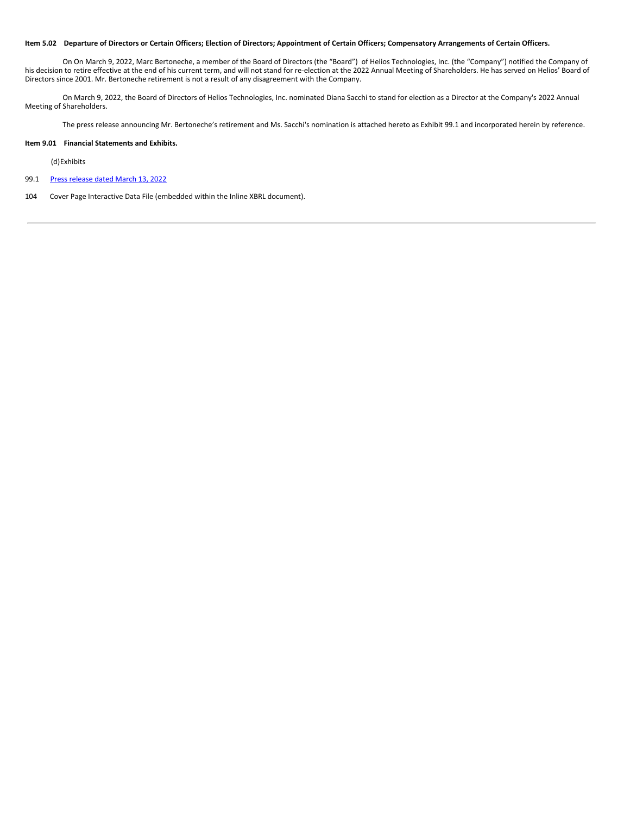#### Item 5.02 Departure of Directors or Certain Officers; Election of Directors; Appointment of Certain Officers; Compensatory Arrangements of Certain Officers.

On On March 9, 2022, Marc Bertoneche, a member of the Board of Directors (the "Board") of Helios Technologies, Inc. (the "Company") notified the Company of his decision to retire effective at the end of his current term, and will not stand for re-election at the 2022 Annual Meeting of Shareholders. He has served on Helios' Board of Directors since 2001. Mr. Bertoneche retirement is not a result of any disagreement with the Company.

On March 9, 2022, the Board of Directors of Helios Technologies, Inc. nominated Diana Sacchi to stand for election as a Director at the Company's 2022 Annual Meeting of Shareholders.

The press release announcing Mr. Bertoneche's retirement and Ms. Sacchi's nomination is attached hereto as Exhibit 99.1 and incorporated herein by reference.

#### **Item 9.01 Financial Statements and Exhibits.**

## (d)Exhibits

- 99.1 Press [release](#page-5-0) dated March 13, 2022
- 104 Cover Page Interactive Data File (embedded within the Inline XBRL document).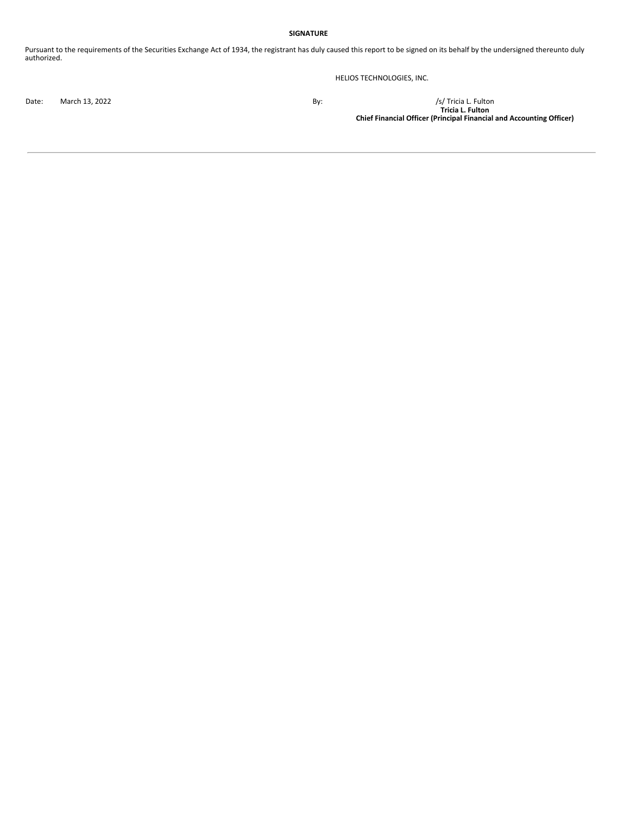## **SIGNATURE**

Pursuant to the requirements of the Securities Exchange Act of 1934, the registrant has duly caused this report to be signed on its behalf by the undersigned thereunto duly authorized.

HELIOS TECHNOLOGIES, INC.

Date: March 13, 2022 By: /s/ Tricia L. Fulton **Tricia L. Fulton Chief Financial Officer (Principal Financial and Accounting Officer)**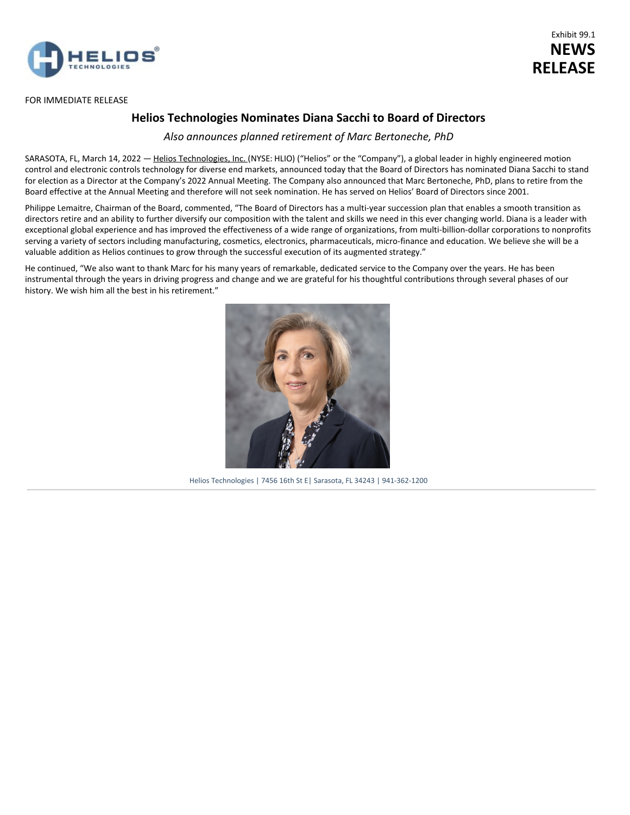

## FOR IMMEDIATE RELEASE

# Exhibit 99.1 **NEWS RELEASE**

# **Helios Technologies Nominates Diana Sacchi to Board of Directors**

*Also announces planned retirement of Marc Bertoneche, PhD*

SARASOTA, FL, March 14, 2022 - Helios Technologies, Inc. (NYSE: HLIO) ("Helios" or the "Company"), a global leader in highly engineered motion control and electronic controls technology for diverse end markets, announced today that the Board of Directors has nominated Diana Sacchi to stand for election as a Director at the Company's 2022 Annual Meeting. The Company also announced that Marc Bertoneche, PhD, plans to retire from the Board effective at the Annual Meeting and therefore will not seek nomination. He has served on Helios' Board of Directors since 2001.

Philippe Lemaitre, Chairman of the Board, commented, "The Board of Directors has a multi-year succession plan that enables a smooth transition as directors retire and an ability to further diversify our composition with the talent and skills we need in this ever changing world. Diana is a leader with exceptional global experience and has improved the effectiveness of a wide range of organizations, from multi-billion-dollar corporations to nonprofits serving a variety of sectors including manufacturing, cosmetics, electronics, pharmaceuticals, micro-finance and education. We believe she will be a valuable addition as Helios continues to grow through the successful execution of its augmented strategy."

He continued, "We also want to thank Marc for his many years of remarkable, dedicated service to the Company over the years. He has been instrumental through the years in driving progress and change and we are grateful for his thoughtful contributions through several phases of our history. We wish him all the best in his retirement."



Helios Technologies | 7456 16th St E| Sarasota, FL 34243 | 941-362-1200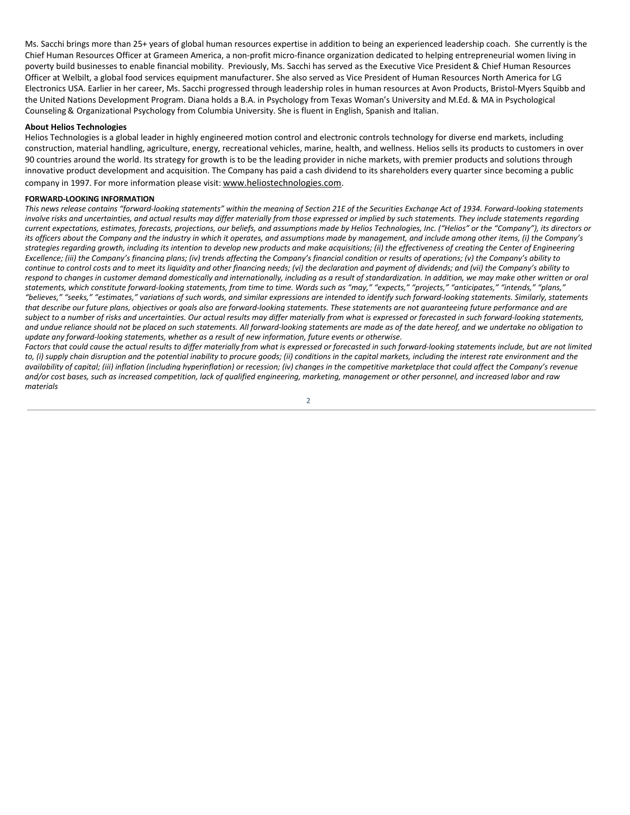<span id="page-5-0"></span>Ms. Sacchi brings more than 25+ years of global human resources expertise in addition to being an experienced leadership coach. She currently is the Chief Human Resources Officer at Grameen America, a non-profit micro-finance organization dedicated to helping entrepreneurial women living in poverty build businesses to enable financial mobility. Previously, Ms. Sacchi has served as the Executive Vice President & Chief Human Resources Officer at Welbilt, a global food services equipment manufacturer. She also served as Vice President of Human Resources North America for LG Electronics USA. Earlier in her career, Ms. Sacchi progressed through leadership roles in human resources at Avon Products, Bristol-Myers Squibb and the United Nations Development Program. Diana holds a B.A. in Psychology from Texas Woman's University and M.Ed. & MA in Psychological Counseling & Organizational Psychology from Columbia University. She is fluent in English, Spanish and Italian.

## **About Helios Technologies**

Helios Technologies is a global leader in highly engineered motion control and electronic controls technology for diverse end markets, including construction, material handling, agriculture, energy, recreational vehicles, marine, health, and wellness. Helios sells its products to customers in over 90 countries around the world. Its strategy for growth is to be the leading provider in niche markets, with premier products and solutions through innovative product development and acquisition. The Company has paid a cash dividend to its shareholders every quarter since becoming a public company in 1997. For more information please visit: www.heliostechnologies.com.

### **FORWARD-LOOKING INFORMATION**

This news release contains "forward-looking statements" within the meaning of Section 21E of the Securities Exchange Act of 1934. Forward-looking statements involve risks and uncertainties, and actual results may differ materially from those expressed or implied by such statements. They include statements regarding current expectations, estimates, forecasts, projections, our beliefs, and assumptions made by Helios Technologies, Inc. ("Helios" or the "Company"), its directors or its officers about the Company and the industry in which it operates, and assumptions made by management, and include among other items, (i) the Company's strategies regarding growth, including its intention to develop new products and make acquisitions; (ii) the effectiveness of creating the Center of Engineering Excellence; (iii) the Company's financing plans; (iv) trends affecting the Company's financial condition or results of operations; (v) the Company's ability to continue to control costs and to meet its liquidity and other financing needs; (vi) the declaration and payment of dividends; and (vii) the Company's ability to respond to changes in customer demand domestically and internationally, including as a result of standardization. In addition, we may make other written or oral statements, which constitute forward-looking statements, from time to time. Words such as "may," "expects," "projects," "anticipates," "intends," "plans," "believes," "seeks," "estimates," variations of such words, and similar expressions are intended to identify such forward-looking statements. Similarly, statements that describe our future plans, objectives or goals also are forward-looking statements. These statements are not quaranteeing future performance and are subject to a number of risks and uncertainties. Our actual results may differ materially from what is expressed or forecasted in such forward-looking statements, and undue reliance should not be placed on such statements. All forward-looking statements are made as of the date hereof, and we undertake no obligation to *update any forward-looking statements, whether as a result of new information, future events or otherwise.*

Factors that could cause the actual results to differ materially from what is expressed or forecasted in such forward-looking statements include, but are not limited to, (i) supply chain disruption and the potential inability to procure goods; (ii) conditions in the capital markets, including the interest rate environment and the availability of capital; (iii) inflation (including hyperinflation) or recession; (iv) changes in the competitive marketplace that could affect the Company's revenue and/or cost bases, such as increased competition, lack of qualified engineering, marketing, management or other personnel, and increased labor and raw *materials*

2